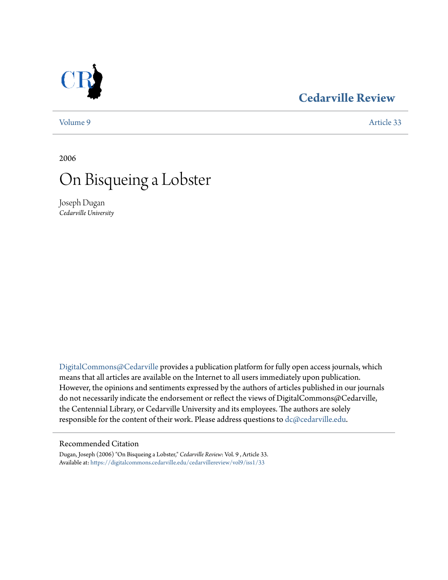# **[Cedarville Review](https://digitalcommons.cedarville.edu/cedarvillereview?utm_source=digitalcommons.cedarville.edu%2Fcedarvillereview%2Fvol9%2Fiss1%2F33&utm_medium=PDF&utm_campaign=PDFCoverPages)**

[Volume 9](https://digitalcommons.cedarville.edu/cedarvillereview/vol9?utm_source=digitalcommons.cedarville.edu%2Fcedarvillereview%2Fvol9%2Fiss1%2F33&utm_medium=PDF&utm_campaign=PDFCoverPages) [Article 33](https://digitalcommons.cedarville.edu/cedarvillereview/vol9/iss1/33?utm_source=digitalcommons.cedarville.edu%2Fcedarvillereview%2Fvol9%2Fiss1%2F33&utm_medium=PDF&utm_campaign=PDFCoverPages)

2006

# On Bisqueing a Lobster

Joseph Dugan *Cedarville University*

[DigitalCommons@Cedarville](http://digitalcommons.cedarville.edu) provides a publication platform for fully open access journals, which means that all articles are available on the Internet to all users immediately upon publication. However, the opinions and sentiments expressed by the authors of articles published in our journals do not necessarily indicate the endorsement or reflect the views of DigitalCommons@Cedarville, the Centennial Library, or Cedarville University and its employees. The authors are solely responsible for the content of their work. Please address questions to [dc@cedarville.edu](mailto:dc@cedarville.edu).

#### Recommended Citation

Dugan, Joseph (2006) "On Bisqueing a Lobster," *Cedarville Review*: Vol. 9 , Article 33. Available at: [https://digitalcommons.cedarville.edu/cedarvillereview/vol9/iss1/33](https://digitalcommons.cedarville.edu/cedarvillereview/vol9/iss1/33?utm_source=digitalcommons.cedarville.edu%2Fcedarvillereview%2Fvol9%2Fiss1%2F33&utm_medium=PDF&utm_campaign=PDFCoverPages)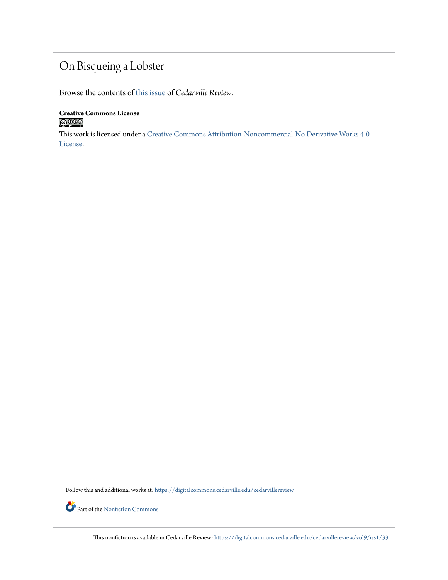## On Bisqueing a Lobster

Browse the contents of [this issue](https://digitalcommons.cedarville.edu/cedarvillereview/vol9/iss1) of *Cedarville Review*.

**Creative Commons License**  $\bigcirc$  000

This work is licensed under a [Creative Commons Attribution-Noncommercial-No Derivative Works 4.0](http://creativecommons.org/licenses/by-nc-nd/4.0/) [License.](http://creativecommons.org/licenses/by-nc-nd/4.0/)

Follow this and additional works at: [https://digitalcommons.cedarville.edu/cedarvillereview](https://digitalcommons.cedarville.edu/cedarvillereview?utm_source=digitalcommons.cedarville.edu%2Fcedarvillereview%2Fvol9%2Fiss1%2F33&utm_medium=PDF&utm_campaign=PDFCoverPages)

Part of the <u>[Nonfiction Commons](http://network.bepress.com/hgg/discipline/1152?utm_source=digitalcommons.cedarville.edu%2Fcedarvillereview%2Fvol9%2Fiss1%2F33&utm_medium=PDF&utm_campaign=PDFCoverPages)</u>

This nonfiction is available in Cedarville Review: [https://digitalcommons.cedarville.edu/cedarvillereview/vol9/iss1/33](https://digitalcommons.cedarville.edu/cedarvillereview/vol9/iss1/33?utm_source=digitalcommons.cedarville.edu%2Fcedarvillereview%2Fvol9%2Fiss1%2F33&utm_medium=PDF&utm_campaign=PDFCoverPages)